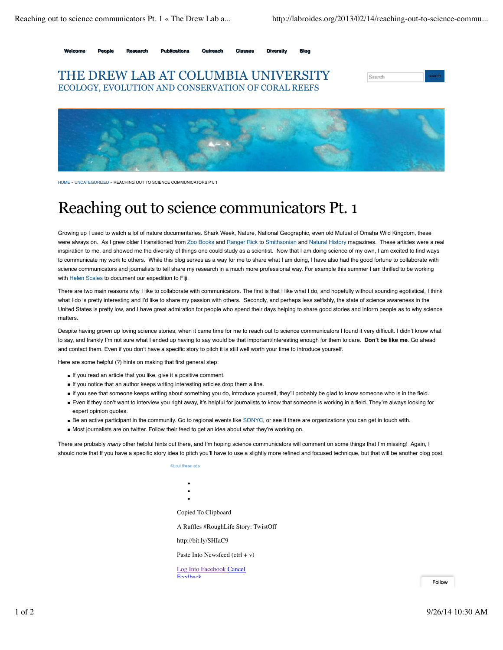

**Welcome People Research Publications Outreach Classes Diversity Blog**





HOME » UNCATEGORIZED » REACHING OUT TO SCIENCE COMMUNICATORS PT. 1

## Reaching out to science communicators Pt. 1

Growing up I used to watch a lot of nature documentaries. Shark Week, Nature, National Geographic, even old Mutual of Omaha Wild Kingdom, these were always on. As I grew older I transitioned from Zoo Books and Ranger Rick to Smithsonian and Natural History magazines. These articles were a real inspiration to me, and showed me the diversity of things one could study as a scientist. Now that I am doing science of my own, I am excited to find ways to communicate my work to others. While this blog serves as a way for me to share what I am doing, I have also had the good fortune to collaborate with science communicators and journalists to tell share my research in a much more professional way. For example this summer I am thrilled to be working with Helen Scales to document our expedition to Fiji.

There are two main reasons why I like to collaborate with communicators. The first is that I like what I do, and hopefully without sounding egotistical, I think what I do is pretty interesting and I'd like to share my passion with others. Secondly, and perhaps less selfishly, the state of science awareness in the United States is pretty low, and I have great admiration for people who spend their days helping to share good stories and inform people as to why science matters.

Despite having grown up loving science stories, when it came time for me to reach out to science communicators I found it very difficult. I didn't know what to say, and frankly I'm not sure what I ended up having to say would be that important/interesting enough for them to care. **Don't be like me**. Go ahead and contact them. Even if you don't have a specific story to pitch it is still well worth your time to introduce yourself.

Here are some helpful (?) hints on making that first general step:

- If you read an article that you like, give it a positive comment.
- If you notice that an author keeps writing interesting articles drop them a line.
- If you see that someone keeps writing about something you do, introduce yourself, they'll probably be glad to know someone who is in the field.
- Even if they don't want to interview you right away, it's helpful for journalists to know that someone is working in a field. They're always looking for expert opinion quotes.
- Be an active participant in the community. Go to regional events like SONYC, or see if there are organizations you can get in touch with.
- Most journalists are on twitter. Follow their feed to get an idea about what they're working on.

There are probably *many* other helpful hints out there, and I'm hoping science communicators will comment on some things that I'm missing! Again, I should note that If you have a specific story idea to pitch you'll have to use a slightly more refined and focused technique, but that will be another blog post.

**About these arts** 

Copied To Clipboard

A Ruffles #RoughLife Story: TwistOff

http://bit.ly/SHIaC9

Paste Into Newsfeed  $(ctrl + v)$ 

Log Into Facebook Cancel Feedback

Follow